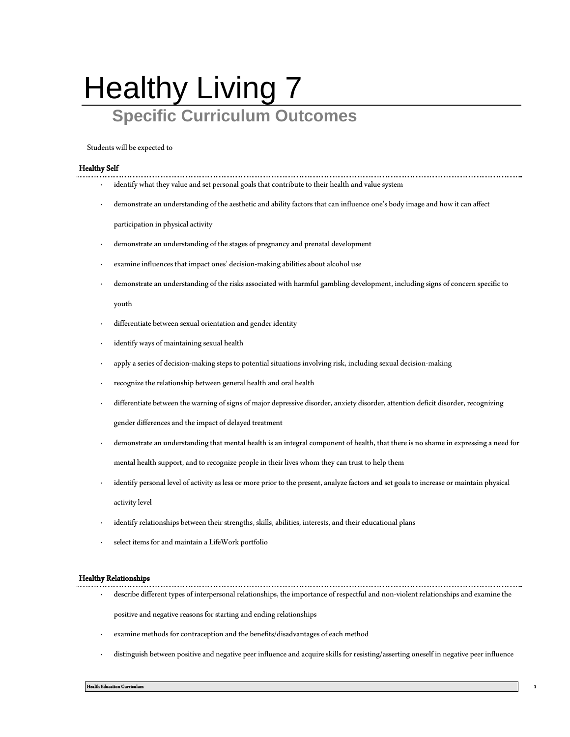## Healthy Living 7 **Specific Curriculum Outcomes**

Students will be expected to

## Healthy Self

- identify what they value and set personal goals that contribute to their health and value system
- demonstrate an understanding of the aesthetic and ability factors that can influence one's body image and how it can affect

participation in physical activity

- demonstrate an understanding of the stages of pregnancy and prenatal development
- examine influences that impact ones' decision-making abilities about alcohol use
- · demonstrate an understanding of the risks associated with harmful gambling development, including signs of concern specific to

youth

- differentiate between sexual orientation and gender identity
- identify ways of maintaining sexual health
- · apply a series of decision-making steps to potential situations involving risk, including sexual decision-making
- recognize the relationship between general health and oral health
- · differentiate between the warning of signs of major depressive disorder, anxiety disorder, attention deficit disorder, recognizing gender differences and the impact of delayed treatment
- · demonstrate an understanding that mental health is an integral component of health, that there is no shame in expressing a need for mental health support, and to recognize people in their lives whom they can trust to help them
- identify personal level of activity as less or more prior to the present, analyze factors and set goals to increase or maintain physical activity level
- identify relationships between their strengths, skills, abilities, interests, and their educational plans
- select items for and maintain a LifeWork portfolio

## Healthy Relationships

- · describe different types of interpersonal relationships, the importance of respectful and non-violent relationships and examine the positive and negative reasons for starting and ending relationships
- examine methods for contraception and the benefits/disadvantages of each method
- · distinguish between positive and negative peer influence and acquire skills for resisting/asserting oneself in negative peer influence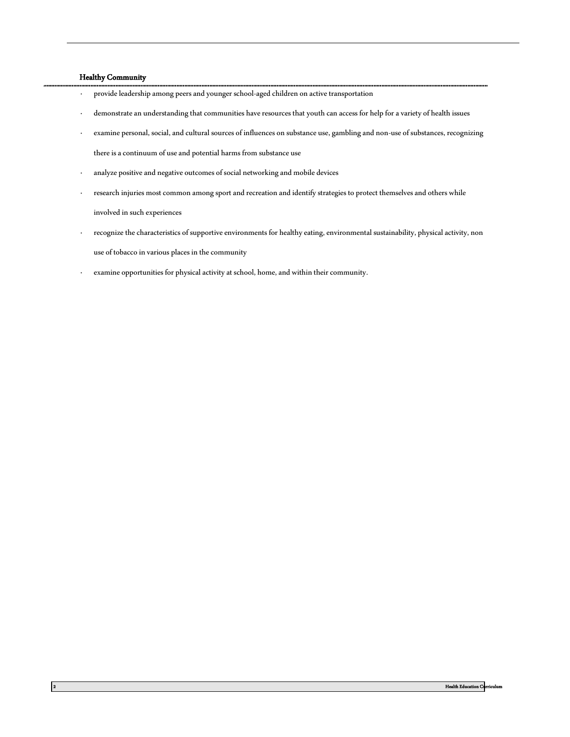## Healthy Community

- · provide leadership among peers and younger school-aged children on active transportation
- demonstrate an understanding that communities have resources that youth can access for help for a variety of health issues
- · examine personal, social, and cultural sources of influences on substance use, gambling and non-use of substances, recognizing there is a continuum of use and potential harms from substance use
- · analyze positive and negative outcomes of social networking and mobile devices
- · research injuries most common among sport and recreation and identify strategies to protect themselves and others while involved in such experiences
- · recognize the characteristics of supportive environments for healthy eating, environmental sustainability, physical activity, non use of tobacco in various places in the community
- examine opportunities for physical activity at school, home, and within their community.